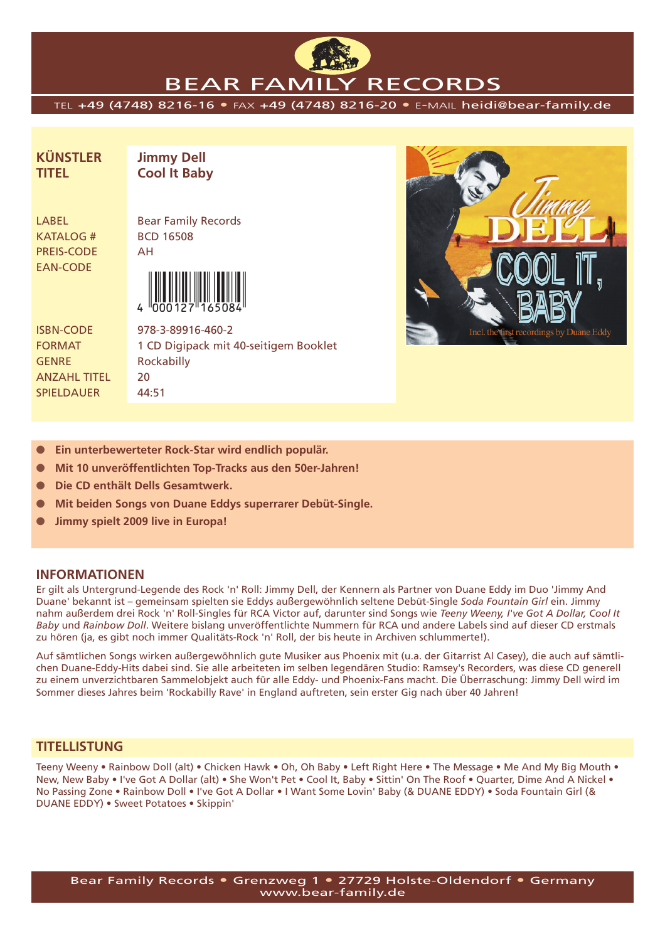

# BEAR FAMILY RECORDS

TEL +49 (4748) 8216-16 • FAX +49 (4748) 8216-20 • E-MAIL heidi@bear-family.de

**KÜNSTLER Jimmy Dell TITEL Cool It Baby**

KATALOG # BCD 16508 PREIS-CODE AH

LABEL Bear Family Records



GENRE Rockabilly ANZAHL TITEL 20 SPIELDAUER 44:51

ISBN-CODE 978-3-89916-460-2 FORMAT 1 CD Digipack mit 40-seitigem Booklet



- **Ein unterbewerteter Rock-Star wird endlich populär.**
- **Mit 10 unveröffentlichten Top-Tracks aus den 50er-Jahren!**
- **Die CD enthält Dells Gesamtwerk.**
- **Mit beiden Songs von Duane Eddys superrarer Debüt-Single.**
- **Jimmy spielt 2009 live in Europa!**

# **INFORMATIONEN**

Er gilt als Untergrund-Legende des Rock 'n' Roll: Jimmy Dell, der Kennern als Partner von Duane Eddy im Duo 'Jimmy And Duane' bekannt ist – gemeinsam spielten sie Eddys außergewöhnlich seltene Debüt-Single *Soda Fountain Girl* ein. Jimmy nahm außerdem drei Rock 'n' Roll-Singles für RCA Victor auf, darunter sind Songs wie *Teeny Weeny, I've Got A Dollar, Cool It Baby* und *Rainbow Doll*. Weitere bislang unveröffentlichte Nummern für RCA und andere Labels sind auf dieser CD erstmals zu hören (ja, es gibt noch immer Qualitäts-Rock 'n' Roll, der bis heute in Archiven schlummerte!).

Auf sämtlichen Songs wirken außergewöhnlich gute Musiker aus Phoenix mit (u.a. der Gitarrist Al Casey), die auch auf sämtlichen Duane-Eddy-Hits dabei sind. Sie alle arbeiteten im selben legendären Studio: Ramsey's Recorders, was diese CD generell zu einem unverzichtbaren Sammelobjekt auch für alle Eddy- und Phoenix-Fans macht. Die Überraschung: Jimmy Dell wird im Sommer dieses Jahres beim 'Rockabilly Rave' in England auftreten, sein erster Gig nach über 40 Jahren!

# **TITELLISTUNG**

Teeny Weeny • Rainbow Doll (alt) • Chicken Hawk • Oh, Oh Baby • Left Right Here • The Message • Me And My Big Mouth • New, New Baby • I've Got A Dollar (alt) • She Won't Pet • Cool It, Baby • Sittin' On The Roof • Quarter, Dime And A Nickel • No Passing Zone • Rainbow Doll • I've Got A Dollar • I Want Some Lovin' Baby (& DUANE EDDY) • Soda Fountain Girl (& DUANE EDDY) • Sweet Potatoes • Skippin'

Bear Family Records • Grenzweg 1 • 27729 Holste-Oldendorf • Germany www.bear-family.de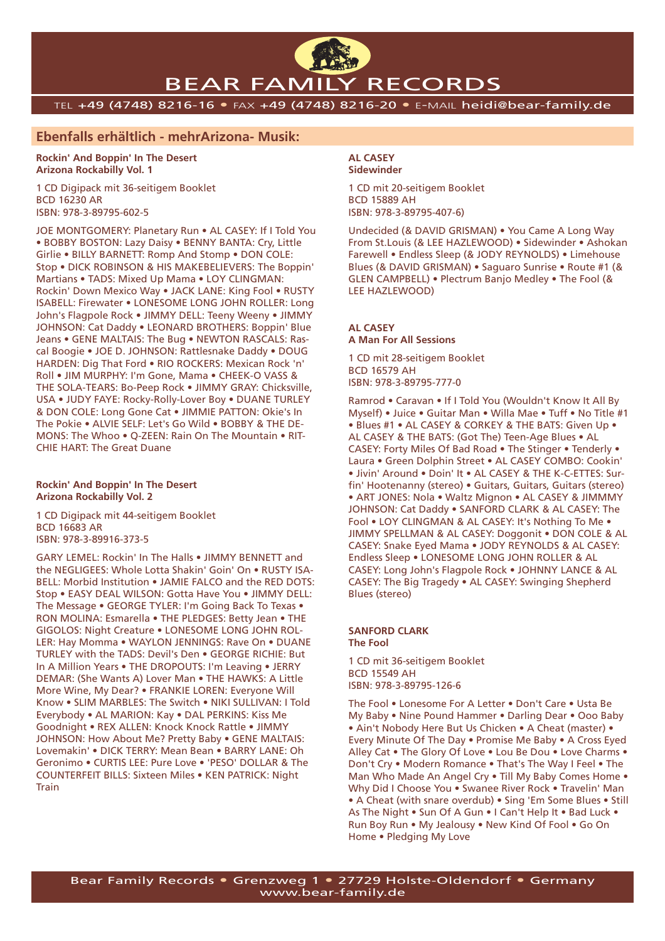

# BEAR FAMILY RECORDS

TEL +49 (4748) 8216-16 • FAX +49 (4748) 8216-20 • E-MAIL heidi@bear-family.de

# **Ebenfalls erhältlich - mehrArizona- Musik:**

**Rockin' And Boppin' In The Desert Arizona Rockabilly Vol. 1**

1 CD Digipack mit 36-seitigem Booklet BCD 16230 AR ISBN: 978-3-89795-602-5

JOE MONTGOMERY: Planetary Run • AL CASEY: If I Told You • BOBBY BOSTON: Lazy Daisy • BENNY BANTA: Cry, Little Girlie • BILLY BARNETT: Romp And Stomp • DON COLE: Stop • DICK ROBINSON & HIS MAKEBELIEVERS: The Boppin' Martians • TADS: Mixed Up Mama • LOY CLINGMAN: Rockin' Down Mexico Way • JACK LANE: King Fool • RUSTY ISABELL: Firewater • LONESOME LONG JOHN ROLLER: Long John's Flagpole Rock • JIMMY DELL: Teeny Weeny • JIMMY JOHNSON: Cat Daddy • LEONARD BROTHERS: Boppin' Blue Jeans • GENE MALTAIS: The Bug • NEWTON RASCALS: Rascal Boogie • JOE D. JOHNSON: Rattlesnake Daddy • DOUG HARDEN: Dig That Ford • RIO ROCKERS: Mexican Rock 'n' Roll • JIM MURPHY: I'm Gone, Mama • CHEEK-O VASS & THE SOLA-TEARS: Bo-Peep Rock • JIMMY GRAY: Chicksville, USA • JUDY FAYE: Rocky-Rolly-Lover Boy • DUANE TURLEY & DON COLE: Long Gone Cat • JIMMIE PATTON: Okie's In The Pokie • ALVIE SELF: Let's Go Wild • BOBBY & THE DE-MONS: The Whoo • Q-ZEEN: Rain On The Mountain • RIT-CHIE HART: The Great Duane

#### **Rockin' And Boppin' In The Desert Arizona Rockabilly Vol. 2**

1 CD Digipack mit 44-seitigem Booklet BCD 16683 AR ISBN: 978-3-89916-373-5

GARY LEMEL: Rockin' In The Halls • JIMMY BENNETT and the NEGLIGEES: Whole Lotta Shakin' Goin' On • RUSTY ISA-BELL: Morbid Institution • JAMIE FALCO and the RED DOTS: Stop • EASY DEAL WILSON: Gotta Have You • JIMMY DELL: The Message • GEORGE TYLER: I'm Going Back To Texas • RON MOLINA: Esmarella • THE PLEDGES: Betty Jean • THE GIGOLOS: Night Creature • LONESOME LONG JOHN ROL-LER: Hay Momma • WAYLON JENNINGS: Rave On • DUANE TURLEY with the TADS: Devil's Den • GEORGE RICHIE: But In A Million Years • THE DROPOUTS: I'm Leaving • JERRY DEMAR: (She Wants A) Lover Man • THE HAWKS: A Little More Wine, My Dear? • FRANKIE LOREN: Everyone Will Know • SLIM MARBLES: The Switch • NIKI SULLIVAN: I Told Everybody • AL MARION: Kay • DAL PERKINS: Kiss Me Goodnight • REX ALLEN: Knock Knock Rattle • JIMMY JOHNSON: How About Me? Pretty Baby • GENE MALTAIS: Lovemakin' • DICK TERRY: Mean Bean • BARRY LANE: Oh Geronimo • CURTIS LEE: Pure Love • 'PESO' DOLLAR & The COUNTERFEIT BILLS: Sixteen Miles • KEN PATRICK: Night Train

#### **AL CASEY Sidewinder**

1 CD mit 20-seitigem Booklet BCD 15889 AH ISBN: 978-3-89795-407-6)

Undecided (& DAVID GRISMAN) • You Came A Long Way From St.Louis (& LEE HAZLEWOOD) • Sidewinder • Ashokan Farewell • Endless Sleep (& JODY REYNOLDS) • Limehouse Blues (& DAVID GRISMAN) • Saguaro Sunrise • Route #1 (& GLEN CAMPBELL) • Plectrum Banjo Medley • The Fool (& LEE HAZLEWOOD)

# **AL CASEY A Man For All Sessions**

1 CD mit 28-seitigem Booklet BCD 16579 AH ISBN: 978-3-89795-777-0

Ramrod • Caravan • If I Told You (Wouldn't Know It All By Myself) • Juice • Guitar Man • Willa Mae • Tuff • No Title #1 • Blues #1 • AL CASEY & CORKEY & THE BATS: Given Up • AL CASEY & THE BATS: (Got The) Teen-Age Blues • AL CASEY: Forty Miles Of Bad Road • The Stinger • Tenderly • Laura • Green Dolphin Street • AL CASEY COMBO: Cookin' • Jivin' Around • Doin' It • AL CASEY & THE K-C-ETTES: Surfin' Hootenanny (stereo) • Guitars, Guitars, Guitars (stereo) • ART JONES: Nola • Waltz Mignon • AL CASEY & JIMMMY JOHNSON: Cat Daddy • SANFORD CLARK & AL CASEY: The Fool • LOY CLINGMAN & AL CASEY: It's Nothing To Me • JIMMY SPELLMAN & AL CASEY: Doggonit • DON COLE & AL CASEY: Snake Eyed Mama • JODY REYNOLDS & AL CASEY: Endless Sleep • LONESOME LONG JOHN ROLLER & AL CASEY: Long John's Flagpole Rock • JOHNNY LANCE & AL CASEY: The Big Tragedy • AL CASEY: Swinging Shepherd Blues (stereo)

#### **SANFORD CLARK The Fool**

1 CD mit 36-seitigem Booklet BCD 15549 AH ISBN: 978-3-89795-126-6

The Fool • Lonesome For A Letter • Don't Care • Usta Be My Baby • Nine Pound Hammer • Darling Dear • Ooo Baby • Ain't Nobody Here But Us Chicken • A Cheat (master) • Every Minute Of The Day • Promise Me Baby • A Cross Eyed Alley Cat • The Glory Of Love • Lou Be Dou • Love Charms • Don't Cry • Modern Romance • That's The Way I Feel • The Man Who Made An Angel Cry • Till My Baby Comes Home • Why Did I Choose You • Swanee River Rock • Travelin' Man • A Cheat (with snare overdub) • Sing 'Em Some Blues • Still As The Night • Sun Of A Gun • I Can't Help It • Bad Luck • Run Boy Run • My Jealousy • New Kind Of Fool • Go On Home • Pledging My Love

Bear Family Records • Grenzweg 1 • 27729 Holste-Oldendorf • Germany www.bear-family.de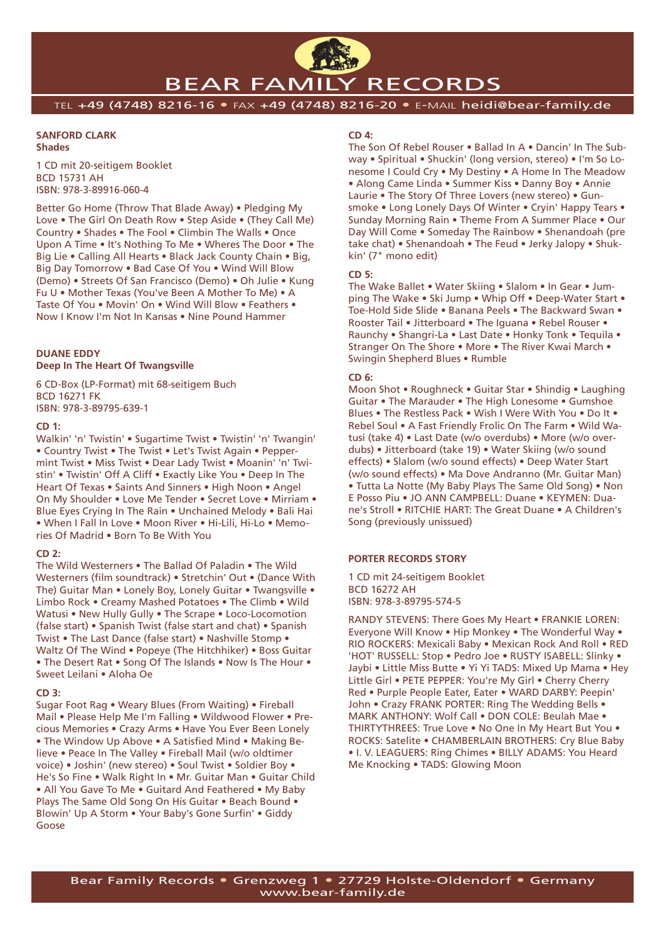

# BEAR FAMILY RECORDS

TEL +49 (4748) 8216-16 • FAX +49 (4748) 8216-20 • E-MAIL heidi@bear-family.de

#### **SANFORD CLARK Shades**

1 CD mit 20-seitigem Booklet BCD 15731 AH ISBN: 978-3-89916-060-4

Better Go Home (Throw That Blade Away) • Pledging My Love • The Girl On Death Row • Step Aside • (They Call Me) Country • Shades • The Fool • Climbin The Walls • Once Upon A Time • It's Nothing To Me • Wheres The Door • The Big Lie • Calling All Hearts • Black Jack County Chain • Big, Big Day Tomorrow • Bad Case Of You • Wind Will Blow (Demo) • Streets Of San Francisco (Demo) • Oh Julie • Kung Fu U • Mother Texas (You've Been A Mother To Me) • A Taste Of You • Movin' On • Wind Will Blow • Feathers • Now I Know I'm Not In Kansas • Nine Pound Hammer

# **DUANE EDDY**

**Deep In The Heart Of Twangsville**

6 CD-Box (LP-Format) mit 68-seitigem Buch BCD 16271 FK ISBN: 978-3-89795-639-1

#### **CD 1:**

Walkin' 'n' Twistin' • Sugartime Twist • Twistin' 'n' Twangin' • Country Twist • The Twist • Let's Twist Again • Peppermint Twist • Miss Twist • Dear Lady Twist • Moanin' 'n' Twistin' • Twistin' Off A Cliff • Exactly Like You • Deep In The Heart Of Texas • Saints And Sinners • High Noon • Angel On My Shoulder • Love Me Tender • Secret Love • Mirriam • Blue Eyes Crying In The Rain • Unchained Melody • Bali Hai • When I Fall In Love • Moon River • Hi-Lili, Hi-Lo • Memories Of Madrid • Born To Be With You

#### **CD 2:**

The Wild Westerners • The Ballad Of Paladin • The Wild Westerners (film soundtrack) • Stretchin' Out • (Dance With The) Guitar Man • Lonely Boy, Lonely Guitar • Twangsville • Limbo Rock • Creamy Mashed Potatoes • The Climb • Wild Watusi • New Hully Gully • The Scrape • Loco-Locomotion (false start) • Spanish Twist (false start and chat) • Spanish Twist • The Last Dance (false start) • Nashville Stomp • Waltz Of The Wind • Popeye (The Hitchhiker) • Boss Guitar • The Desert Rat • Song Of The Islands • Now Is The Hour • Sweet Leilani • Aloha Oe

#### **CD 3:**

Sugar Foot Rag • Weary Blues (From Waiting) • Fireball Mail • Please Help Me I'm Falling • Wildwood Flower • Precious Memories • Crazy Arms • Have You Ever Been Lonely • The Window Up Above • A Satisfied Mind • Making Believe • Peace In The Valley • Fireball Mail (w/o oldtimer voice) • Joshin' (new stereo) • Soul Twist • Soldier Boy • He's So Fine • Walk Right In • Mr. Guitar Man • Guitar Child • All You Gave To Me • Guitard And Feathered • My Baby Plays The Same Old Song On His Guitar • Beach Bound • Blowin' Up A Storm • Your Baby's Gone Surfin' • Giddy Goose

### **CD 4:**

The Son Of Rebel Rouser • Ballad In A • Dancin' In The Subway • Spiritual • Shuckin' (long version, stereo) • I'm So Lonesome I Could Cry • My Destiny • A Home In The Meadow • Along Came Linda • Summer Kiss • Danny Boy • Annie Laurie • The Story Of Three Lovers (new stereo) • Gunsmoke • Long Lonely Days Of Winter • Cryin' Happy Tears • Sunday Morning Rain • Theme From A Summer Place • Our Day Will Come • Someday The Rainbow • Shenandoah (pre take chat) • Shenandoah • The Feud • Jerky Jalopy • Shukkin' (7" mono edit)

### **CD 5:**

The Wake Ballet • Water Skiing • Slalom • In Gear • Jumping The Wake • Ski Jump • Whip Off • Deep-Water Start • Toe-Hold Side Slide • Banana Peels • The Backward Swan • Rooster Tail • Jitterboard • The Iguana • Rebel Rouser • Raunchy • Shangri-La • Last Date • Honky Tonk • Tequila • Stranger On The Shore • More • The River Kwai March • Swingin Shepherd Blues • Rumble

### **CD 6:**

Moon Shot • Roughneck • Guitar Star • Shindig • Laughing Guitar • The Marauder • The High Lonesome • Gumshoe Blues • The Restless Pack • Wish I Were With You • Do It • Rebel Soul • A Fast Friendly Frolic On The Farm • Wild Watusi (take 4) • Last Date (w/o overdubs) • More (w/o overdubs) • Jitterboard (take 19) • Water Skiing (w/o sound effects) • Slalom (w/o sound effects) • Deep Water Start (w/o sound effects) • Ma Dove Andranno (Mr. Guitar Man) • Tutta La Notte (My Baby Plays The Same Old Song) • Non E Posso Piu • JO ANN CAMPBELL: Duane • KEYMEN: Duane's Stroll • RITCHIE HART: The Great Duane • A Children's Song (previously unissued)

# **PORTER RECORDS STORY**

1 CD mit 24-seitigem Booklet BCD 16272 AH ISBN: 978-3-89795-574-5

RANDY STEVENS: There Goes My Heart • FRANKIE LOREN: Everyone Will Know • Hip Monkey • The Wonderful Way • RIO ROCKERS: Mexicali Baby • Mexican Rock And Roll • RED 'HOT' RUSSELL: Stop • Pedro Joe • RUSTY ISABELL: Slinky • Jaybi • Little Miss Butte • Yi Yi TADS: Mixed Up Mama • Hey Little Girl • PETE PEPPER: You're My Girl • Cherry Cherry Red • Purple People Eater, Eater • WARD DARBY: Peepin' John • Crazy FRANK PORTER: Ring The Wedding Bells • MARK ANTHONY: Wolf Call • DON COLE: Beulah Mae • THIRTYTHREES: True Love • No One In My Heart But You • ROCKS: Satelite • CHAMBERLAIN BROTHERS: Cry Blue Baby • I. V. LEAGUERS: Ring Chimes • BILLY ADAMS: You Heard Me Knocking • TADS: Glowing Moon